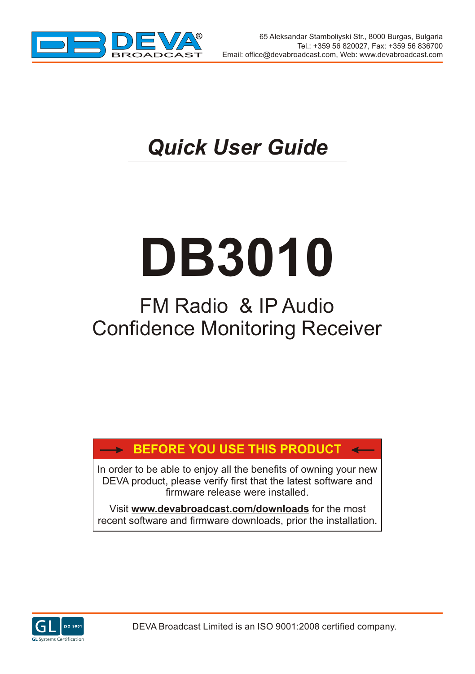

 $\rightarrow$ 

## *Quick User Guide*

# **DB3010**

## FM Radio & IP Audio Confidence Monitoring Receiver

### **BEFORE YOU USE THIS PRODUCT**

In order to be able to enjoy all the benefits of owning your new DEVA product, please verify first that the latest software and firmware release were installed.

Visit **www.devabroadcast.com/downloads** for the most recent software and firmware downloads, prior the installation.

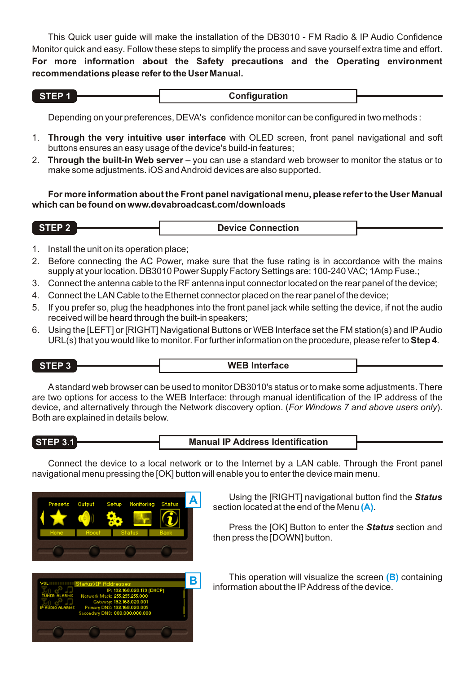This Quick user guide will make the installation of the DB3010 - FM Radio & IP Audio Confidence Monitor quick and easy. Follow these steps to simplify the process and save yourself extra time and effort. **For more information about the Safety precautions and the Operating environment recommendations please refer to the User Manual.**

| . .<br>417<br>٦. |  |  |
|------------------|--|--|
|                  |  |  |

**Configuration** 

Depending on your preferences, DEVA's confidence monitor can be configured in two methods :

- 1. **Through the very intuitive user interface** with OLED screen, front panel navigational and soft buttons ensures an easy usage of the device's build-in features;
- 2. **Through the built-in Web server** you can use a standard web browser to monitor the status or to make some adjustments. iOS and Android devices are also supported.

**For more information about the Front panel navigational menu, please refer to the User Manual which can be found on www.devabroadcast.com/downloads**

| STEP <sub>2</sub> | <b>Device Connection</b> |  |
|-------------------|--------------------------|--|
|                   |                          |  |

- 1. Install the unit on its operation place;
- 2. Before connecting the AC Power, make sure that the fuse rating is in accordance with the mains supply at your location. DB3010 Power Supply Factory Settings are: 100-240 VAC; 1Amp Fuse.;
- 3. Connect the antenna cable to the RF antenna input connector located on the rear panel of the device;
- 4. Connect the LAN Cable to the Ethernet connector placed on the rear panel of the device;
- 5. If you prefer so, plug the headphones into the front panel jack while setting the device, if not the audio received will be heard through the built-in speakers;
- 6. Using the [LEFT] or [RIGHT] Navigational Buttons or WEB Interface set the FM station(s) and IPAudio URL(s) that you would like to monitor. For further information on the procedure, please refer to **Step 4**.

$$
\mathsf{STEP} 3 \ \overline{\phantom{0}}
$$

#### **STEP 3 WEB Interface**

Astandard web browser can be used to monitor DB3010's status or to make some adjustments. There are two options for access to the WEB Interface: through manual identification of the IP address of the device, and alternatively through the Network discovery option. (*For Windows 7 and above users only*). Both are explained in details below.

**STEP 3.1 Manual IP Address Identification**

Connect the device to a local network or to the Internet by a LAN cable. Through the Front panel navigational menu pressing the [OK] button will enable you to enter the device main menu.





**A** Using the [RIGHT] navigational button find the *Status* section located at the end of the Menu (A).

Press the [OK] Button to enter the *Status* section and then press the [DOWN] button.

This operation will visualize the screen (B) containing information about the IPAddress of the device.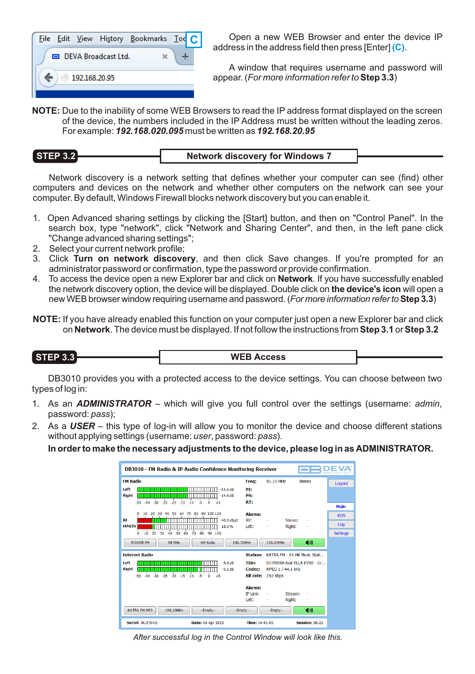

**C** Open a new WEB Browser and enter the device IP address in the address field then press [Enter] (C).

A window that requires username and password will appear. (*For more information refer to***Step 3.3**)

**NOTE:** Due to the inability of some WEB Browsers to read the IP address format displayed on the screen of the device, the numbers included in the IP Address must be written without the leading zeros. For example: *192.168.020.095* must be written as *192.168.20.95*

#### **STEP 3.2 Network discovery for Windows 7**

Network discovery is a network setting that defines whether your computer can see (find) other computers and devices on the network and whether other computers on the network can see your computer. By default, Windows Firewall blocks network discovery but you can enable it.

- 1. Open Advanced sharing settings by clicking the [Start] button, and then on "Control Panel". In the search box, type "network", click "Network and Sharing Center", and then, in the left pane click "Change advanced sharing settings";
- 2. Select your current network profile;
- 3. Click **Turn on network discovery**, and then click Save changes. If you're prompted for an administrator password or confirmation, type the password or provide confirmation.
- 4. To access the device open a new Explorer bar and click on **Network**. If you have successfully enabled the network discovery option, the device will be displayed. Double click on **the device's icon** will open a new WEB browser window requiring username and password.(*For more information refer to* **Step 3.3**)
- **NOTE:** If you have already enabled this function on your computer just open a new Explorer bar and click on **Network**. The device must be displayed. If not follow the instructions from **Step 3.1** or **Step 3.2**

#### **STEP 3.3 WEB Access**

DB3010 provides you with a protected access to the device settings. You can choose between two types of log in:

- 1. As an *ADMINISTRATOR* which will give you full control over the settings (username: *admin*, password: *pass*);
- 2. As a *USER* this type of log-in will allow you to monitor the device and choose different stations without applying settings (username: *user*, password: *pass*).

**In order to make the necessary adjustments to the device, please log in as ADMINISTRATOR.**

| DB3010 - FM Radio & IP Audio Confidence Monitoring Receiver              |                  |                               |                 |
|--------------------------------------------------------------------------|------------------|-------------------------------|-----------------|
| <b>FM Radio</b>                                                          | Freq:            | 91.10 MHZ<br>Stereo           | Logout          |
| Left<br>$-14.6$ dB                                                       | PT:              |                               |                 |
| <b>Right</b><br>$-14.6$ dB                                               | <b>PS:</b>       |                               |                 |
| $-30$<br>$-20 - 15 - 10$<br>$-5$<br>ò<br>$-40$<br>$-25$<br>$-50$<br>$+5$ | RT:              |                               | Main            |
| 50<br>60<br>70<br>80<br>90 100 110<br>10<br>20<br>30<br>40<br>٥          | <b>Alarms:</b>   |                               | <b>RDS</b>      |
| <b>RF</b><br>40.0 dBuV<br><b>MPATH</b><br>18.0%                          | RF:<br>Left:     | Stereo:<br>Right:             | Log             |
| 10<br>50<br>80<br>90 100<br>20<br>30<br>40<br>60<br>70<br>٥              |                  |                               | <b>Settings</b> |
| <b>POWER FM</b><br><b>98 MHz</b><br><b>HD Radio</b><br>106.10MHz         |                  | ◀*)<br>106.10MHz              |                 |
| <b>Internet Radio</b>                                                    | <b>Station:</b>  | KATRA FM - #1 Hit Music Stati |                 |
| Left<br>$-5.6dB$                                                         | <b>Title:</b>    | DJ FRESH feat ELLA EYRE - Gr  |                 |
| <b>Right</b><br>$-5.5dB$                                                 | Codec:           | MPEG 1 / 44.1 kHz             |                 |
| $-25$<br>$-20 - 15$<br>à,<br>ò<br>$-30$<br>$-10$<br>$-50$<br>$-40$<br>45 | <b>Bit rate:</b> | 192 kbps                      |                 |
|                                                                          | <b>Alarms:</b>   |                               |                 |
|                                                                          | <b>TP Link:</b>  | Stream:                       |                 |
|                                                                          | Left:            | Right:                        |                 |
| <b>KATRA FM MP3</b><br>106.10MHz<br>- Empty -<br>- Empty -               |                  | 40)<br>- Empty -              |                 |
|                                                                          |                  |                               |                 |

*After successful log in the Control Window will look like this.*